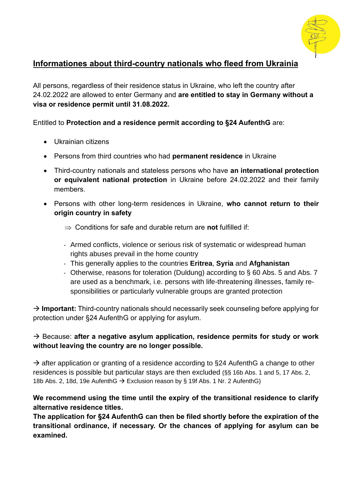

# **Informationes about third-country nationals who fleed from Ukrainia**

All persons, regardless of their residence status in Ukraine, who left the country after 24.02.2022 are allowed to enter Germany and **are entitled to stay in Germany without a visa or residence permit until 31.08.2022.**

Entitled to **Protection and a residence permit according to §24 AufenthG** are:

- Ukrainian citizens
- Persons from third countries who had **permanent residence** in Ukraine
- Third-country nationals and stateless persons who have **an international protection or equivalent national protection** in Ukraine before 24.02.2022 and their family members.
- Persons with other long-term residences in Ukraine, **who cannot return to their origin country in safety**
	- $\Rightarrow$  Conditions for safe and durable return are **not** fulfilled if:
	- Armed conflicts, violence or serious risk of systematic or widespread human rights abuses prevail in the home country
	- This generally applies to the countries **Eritrea**, **Syria** and **Afghanistan**
	- Otherwise, reasons for toleration (Duldung) according to § 60 Abs. 5 and Abs. 7 are used as a benchmark, i.e. persons with life-threatening illnesses, family responsibilities or particularly vulnerable groups are granted protection

→ **Important:** Third-country nationals should necessarily seek counseling before applying for protection under §24 AufenthG or applying for asylum.

## → Because: **after a negative asylum application, residence permits for study or work without leaving the country are no longer possible.**

 $\rightarrow$  after application or granting of a residence according to §24 AufenthG a change to other residences is possible but particular stays are then excluded (§§ 16b Abs. 1 and 5, 17 Abs. 2, 18b Abs. 2, 18d, 19e AufenthG → Exclusion reason by § 19f Abs. 1 Nr. 2 AufenthG)

#### **We recommend using the time until the expiry of the transitional residence to clarify alternative residence titles.**

**The application for §24 AufenthG can then be filed shortly before the expiration of the transitional ordinance, if necessary. Or the chances of applying for asylum can be examined.**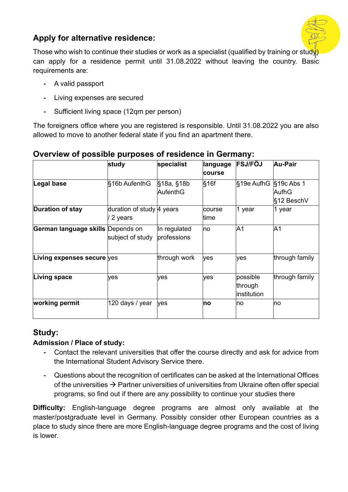

# **Apply for alternative residence:**

Those who wish to continue their studies or work as a specialist (qualified by training or study can apply for a residence permit until 31.08.2022 without leaving the country. Basic requirements are:

- **-** A valid passport
- **-** Living expenses are secured
- **-** Sufficient living space (12qm per person)

The foreigners office where you are registered is responsible. Until 31.08.2022 you are also allowed to move to another federal state if you find an apartment there.

|                                   | study                                | specialist                  | language<br>course | <b>FSJ/FÖJ</b>                     | Au-Pair                                  |
|-----------------------------------|--------------------------------------|-----------------------------|--------------------|------------------------------------|------------------------------------------|
| Legal base                        | §16b AufenthG                        | §18a, §18b<br>AufenthG      | §16f               | §19e AufhG                         | $§$ 19 $c$ Abs 1<br>AufhG<br>l§12 BeschV |
| Duration of stay                  | duration of study 4 years<br>2 years |                             | course<br>time     | 1 year                             | 1 year                                   |
| German language skills Depends on | subject of study                     | In regulated<br>professions | no                 | A1                                 | A <sub>1</sub>                           |
| Living expenses secure yes        |                                      | through work                | yes                | yes                                | through family                           |
| Living space                      | yes                                  | yes                         | yes                | possible<br>through<br>institution | through family                           |
| working permit                    | 120 days / year                      | yes                         | no                 | <b>no</b>                          | <b>n</b> o                               |

# **Overview of possible purposes of residence in Germany:**

# **Study:**

## **Admission / Place of study:**

- **-** Contact the relevant universities that offer the course directly and ask for advice from the International Student Advisory Service there.
- **-** Questions about the recognition of certificates can be asked at the International Offices of the universities  $\rightarrow$  Partner universities of universities from Ukraine often offer special programs, so find out if there are any possibility to continue your studies there

**Difficulty:** English-language degree programs are almost only available at the master/postgraduate level in Germany. Possibly consider other European countries as a place to study since there are more English-language degree programs and the cost of living is lower.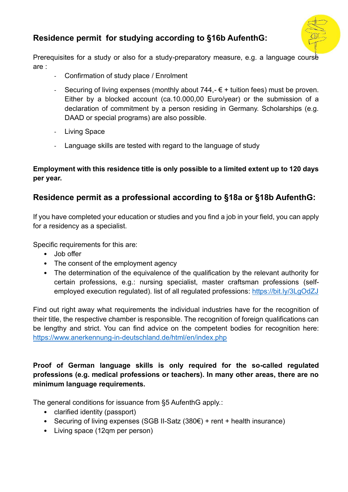# **Residence permit for studying according to §16b AufenthG:**



Prerequisites for a study or also for a study-preparatory measure, e.g. a language course are :

- Confirmation of study place / Enrolment
- Securing of living expenses (monthly about  $744,-\epsilon$  + tuition fees) must be proven. Either by a blocked account (ca.10.000,00 Euro/year) or the submission of a declaration of commitment by a person residing in Germany. Scholarships (e.g. DAAD or special programs) are also possible.
- Living Space
- Language skills are tested with regard to the language of study

#### **Employment with this residence title is only possible to a limited extent up to 120 days per year.**

# **Residence permit as a professional according to §18a or §18b AufenthG:**

If you have completed your education or studies and you find a job in your field, you can apply for a residency as a specialist.

Specific requirements for this are:

- Job offer
- The consent of the employment agency
- The determination of the equivalence of the qualification by the relevant authority for certain professions, e.g.: nursing specialist, master craftsman professions (selfemployed execution regulated). list of all regulated professions:<https://bit.ly/3LgOdZJ>

Find out right away what requirements the individual industries have for the recognition of their title, the respective chamber is responsible. The recognition of foreign qualifications can be lengthy and strict. You can find advice on the competent bodies for recognition here: <https://www.anerkennung-in-deutschland.de/html/en/index.php>

#### **Proof of German language skills is only required for the so-called regulated professions (e.g. medical professions or teachers). In many other areas, there are no minimum language requirements.**

The general conditions for issuance from §5 AufenthG apply.:

- clarified identity (passport)
- Securing of living expenses (SGB II-Satz (380€) + rent + health insurance)
- Living space (12qm per person)